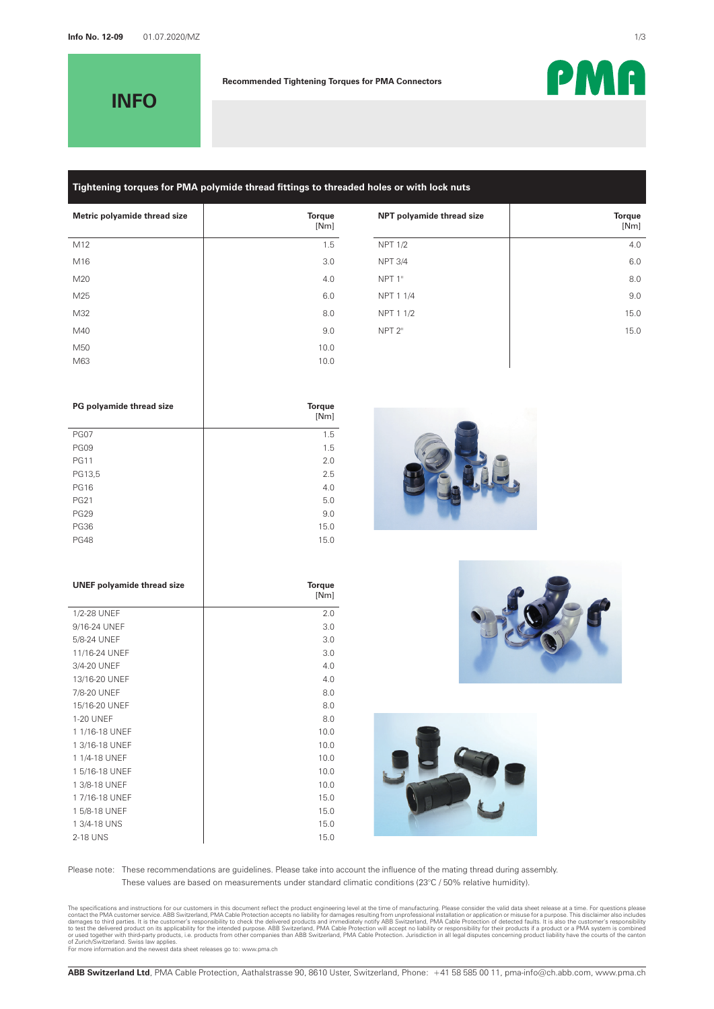**INFO**

#### **Recommended Tightening Torques for PMA Connectors**

# **Tightening torques for PMA polymide thread fittings to threaded holes or with lock nuts**

| Metric polyamide thread size | <b>Torque</b><br>[Nm] | NPT polyamide thread size | <b>Torque</b><br>[Nm] |
|------------------------------|-----------------------|---------------------------|-----------------------|
| M12                          | 1.5                   | <b>NPT 1/2</b>            | 4.0                   |
| M16                          | 3.0                   | <b>NPT 3/4</b>            | 6.0                   |
| M20                          | 4.0                   | NPT <sub>1</sub> "        | 8.0                   |
| M25                          | 6.0                   | NPT 1 1/4                 | 9 <sub>c</sub>        |
| M32                          | 8.0                   | NPT 1 1/2                 | 15.0                  |
| M40                          | 9.0                   | NPT <sub>2"</sub>         | 15.0                  |
| M50                          | 10.0                  |                           |                       |
| M63                          | 10.0                  |                           |                       |
|                              |                       |                           |                       |

| PG polyamide thread size | <b>Torque</b><br>[Nm] |
|--------------------------|-----------------------|
| <b>PG07</b>              | 1.5                   |
| <b>PG09</b>              | 1.5                   |
| <b>PG11</b>              | 2.0                   |
| PG13,5                   | 2.5                   |
| <b>PG16</b>              | 4.0                   |
| <b>PG21</b>              | 5.0                   |
| <b>PG29</b>              | 9.0                   |
| <b>PG36</b>              | 15.0                  |
| <b>PG48</b>              | 15.0                  |
|                          |                       |

| <b>UNEF polyamide thread size</b> | <b>Torque</b><br>[Nm] |
|-----------------------------------|-----------------------|
| 1/2-28 UNEF                       | 2.0                   |
| 9/16-24 UNEF                      | 3.0                   |
| 5/8-24 UNEF                       | 3.0                   |
| 11/16-24 UNEF                     | 3.0                   |
| 3/4-20 UNEF                       | 4.0                   |
| 13/16-20 UNEF                     | 4.0                   |
| 7/8-20 UNEF                       | 8.0                   |
| 15/16-20 UNEF                     | 8.0                   |
| <b>1-20 UNEF</b>                  | 8.0                   |
| 1 1/16-18 UNEF                    | 10.0                  |
| 13/16-18 UNEF                     | 10.0                  |
| 1 1/4-18 UNEF                     | 10.0                  |
| 15/16-18 UNEF                     | 10.0                  |
| 1 3/8-18 UNEF                     | 10.0                  |
| 17/16-18 UNEF                     | 15.0                  |
| 1 5/8-18 UNEF                     | 15.0                  |
| 1 3/4-18 UNS                      | 15.0                  |
| 2-18 UNS                          | 15.0                  |







Please note: These recommendations are guidelines. Please take into account the influence of the mating thread during assembly. These values are based on measurements under standard climatic conditions (23°C / 50% relative humidity).

The specifications and instructions for our customers in this document reflect the product and immediately norid many of manufacturing. Please consider the valid data sheet releases at a time. For questions and instruction

PMA

[Nm]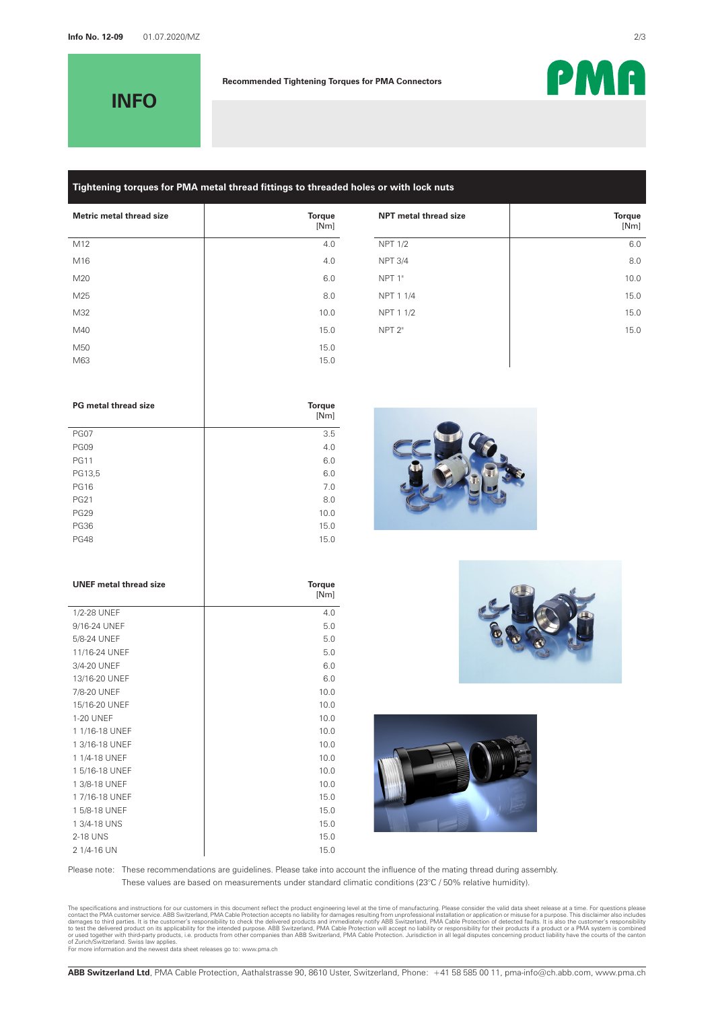**INFO**

#### **Recommended Tightening Torques for PMA Connectors**

# **Tightening torques for PMA metal thread fittings to threaded holes or with lock nuts**

| Metric metal thread size | <b>Torque</b><br>[Nm] | NPT metal thread size | <b>Torque</b><br>[Nm] |
|--------------------------|-----------------------|-----------------------|-----------------------|
| M12                      | 4.0                   | <b>NPT 1/2</b>        | 6.0                   |
| M16                      | 4.0                   | <b>NPT 3/4</b>        | 8.0                   |
| M20                      | 6.0                   | NPT 1"                | 10.0                  |
| M25                      | 8.0                   | NPT 1 1/4             | 15.0                  |
| M32                      | 10.0                  | NPT 1 1/2             | 15.0                  |
| M40                      | 15.0                  | NPT <sub>2"</sub>     | 15.0                  |
| M50                      | 15.0                  |                       |                       |
| M63                      | 15.0                  |                       |                       |
|                          |                       |                       |                       |

| <b>PG</b> metal thread size | <b>Torque</b><br>[Nm] |
|-----------------------------|-----------------------|
| <b>PG07</b>                 | 3.5                   |
| <b>PG09</b>                 | 4.0                   |
| <b>PG11</b>                 | 6.0                   |
| PG13,5                      | 6.0                   |
| <b>PG16</b>                 | 7.0                   |
| <b>PG21</b>                 | 8.0                   |
| <b>PG29</b>                 | 10.0                  |
| <b>PG36</b>                 | 15.0                  |
| <b>PG48</b>                 | 15.0                  |

| <b>UNEF</b> metal thread size | <b>Torque</b><br>[Nm] |
|-------------------------------|-----------------------|
| 1/2-28 UNEF                   | 4.0                   |
| 9/16-24 UNEF                  | 5.0                   |
| 5/8-24 UNEF                   | 5.0                   |
| 11/16-24 UNEF                 | 5.0                   |
| 3/4-20 UNEF                   | 6.0                   |
| 13/16-20 UNEF                 | 6.0                   |
| 7/8-20 UNEF                   | 10.0                  |
| 15/16-20 UNEF                 | 10.0                  |
| <b>1-20 UNEF</b>              | 10.0                  |
| 1 1/16-18 UNEF                | 10.0                  |
| 1 3/16-18 UNEF                | 10.0                  |
| 1 1/4-18 UNEF                 | 10.0                  |
| 15/16-18 UNEF                 | 10.0                  |
| 1 3/8-18 UNEF                 | 10.0                  |
| 17/16-18 UNEF                 | 15.0                  |
| 1 5/8-18 UNEF                 | 15.0                  |
| 1 3/4-18 UNS                  | 15.0                  |
| 2-18 UNS                      | 15.0                  |
| 2 1/4-16 UN                   | 15.0                  |







Please note: These recommendations are guidelines. Please take into account the influence of the mating thread during assembly. These values are based on measurements under standard climatic conditions (23°C / 50% relative humidity).

The specifications and instructions for our customers in this document reflect the product and immediately norid many of manufacturing. Please consider the valid data sheet releases at a time. For questions and instruction

PMA

[Nm]